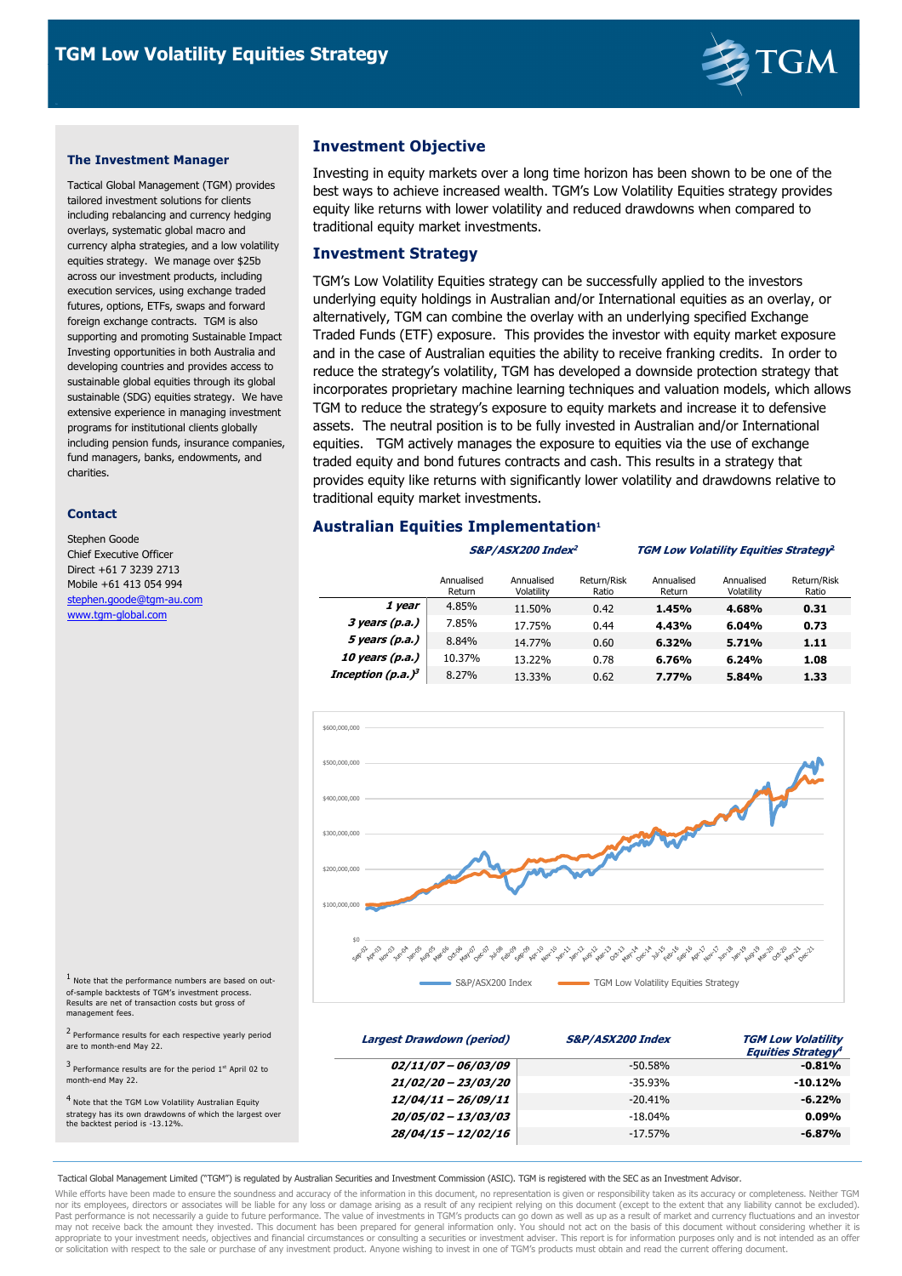

### **The Investment Manager**

Tactical Global Management (TGM) provides tailored investment solutions for clients including rebalancing and currency hedging overlays, systematic global macro and currency alpha strategies, and a low volatility equities strategy. We manage over \$25b across our investment products, including execution services, using exchange traded futures, options, ETFs, swaps and forward foreign exchange contracts. TGM is also supporting and promoting Sustainable Impact Investing opportunities in both Australia and developing countries and provides access to sustainable global equities through its global sustainable (SDG) equities strategy. We have extensive experience in managing investment programs for institutional clients globally including pension funds, insurance companies, fund managers, banks, endowments, and charities.

#### **Contact**

Stephen Goode Chief Executive Officer Direct +61 7 3239 2713 Mobile +61 413 054 994 stephen.goode@tgm-au.com www.tgm-global.com

1 Note that the performance numbers are based on outof-sample backtests of TGM's investment process. Results are net of transaction costs but gross of

management fees.

# **Investment Objective**

Investing in equity markets over a long time horizon has been shown to be one of the best ways to achieve increased wealth. TGM's Low Volatility Equities strategy provides equity like returns with lower volatility and reduced drawdowns when compared to traditional equity market investments.

### **Investment Strategy**

TGM's Low Volatility Equities strategy can be successfully applied to the investors underlying equity holdings in Australian and/or International equities as an overlay, or alternatively, TGM can combine the overlay with an underlying specified Exchange Traded Funds (ETF) exposure. This provides the investor with equity market exposure and in the case of Australian equities the ability to receive franking credits. In order to reduce the strategy's volatility, TGM has developed a downside protection strategy that incorporates proprietary machine learning techniques and valuation models, which allows TGM to reduce the strategy's exposure to equity markets and increase it to defensive assets. The neutral position is to be fully invested in Australian and/or International equities. TGM actively manages the exposure to equities via the use of exchange traded equity and bond futures contracts and cash. This results in a strategy that provides equity like returns with significantly lower volatility and drawdowns relative to traditional equity market investments.

# **Australian Equities Implementation<sup>1</sup>**

#### **S&P/ASX200 Index**

#### **<sup>2</sup> TGM Low Volatility Equities Strategy 2**

|                       | Annualised<br>Return | Annualised<br>Volatility | Return/Risk<br>Ratio | Annualised<br>Return | Annualised<br>Volatility | Return/Risk<br>Ratio |
|-----------------------|----------------------|--------------------------|----------------------|----------------------|--------------------------|----------------------|
| 1 year                | 4.85%                | 11.50%                   | 0.42                 | 1.45%                | 4.68%                    | 0.31                 |
| $3$ years (p.a.)      | 7.85%                | 17.75%                   | 0.44                 | 4.43%                | 6.04%                    | 0.73                 |
| 5 years (p.a.)        | 8.84%                | 14.77%                   | 0.60                 | 6.32%                | 5.71%                    | 1.11                 |
| 10 years (p.a.)       | 10.37%               | 13.22%                   | 0.78                 | 6.76%                | 6.24%                    | 1.08                 |
| Inception (p.a.) $^3$ | 8.27%                | 13.33%                   | 0.62                 | 7.77%                | 5.84%                    | 1.33                 |



 **Largest Drawdown (period) S&P/ASX200 Index TGM Low Volatility Equities Strategy 4 02/11/07 – 06/03/09** -50.58% **-0.81% 21/02/20 – 23/03/20** -35.93% **-10.12% 12/04/11 – 26/09/11** -20.41% **-6.22% 20/05/02 – 13/03/03** -18.04% **0.09% 28/04/15 – 12/02/16** -17.57% **-6.87%**  <sup>2</sup> Performance results for each respective yearly period are to month-end May 22.  $3$  Performance results are for the period  $1<sup>st</sup>$  April 02 to month-end May 22. <sup>4</sup> Note that the TGM Low Volatility Australian Equity strategy has its own drawdowns of which the largest over the backtest period is -13.12%.

Tactical Global Management Limited ("TGM") is regulated by Australian Securities and Investment Commission (ASIC). TGM is registered with the SEC as an Investment Advisor.

While efforts have been made to ensure the soundness and accuracy of the information in this document, no representation is given or responsibility taken as its accuracy or completeness. Neither TGM nor its employees, directors or associates will be liable for any loss or damage arising as a result of any recipient relying on this document (except to the extent that any liability cannot be excluded).<br>Past performance may not receive back the amount they invested. This document has been prepared for general information only. You should not act on the basis of this document without considering whether it is<br>appropriate to your investment or solicitation with respect to the sale or purchase of any investment product. Anyone wishing to invest in one of TGM's products must obtain and read the current offering document.